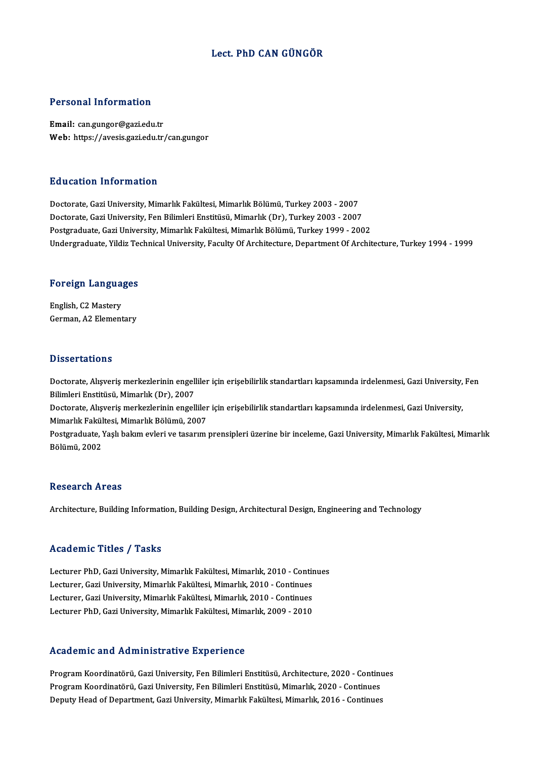# Lect. PhD CAN GÜNGÖR

# Personal Information

Email: can.gungor@gazi.edu.tr Web: https://avesis.gazi.edu.tr/can.gungor

## Education Information

Doctorate, Gazi University, Mimarlık Fakültesi, Mimarlık Bölümü, Turkey 2003 - 2007 Doctorate, Gazi University, Fen Bilimleri Enstitüsü, Mimarlık (Dr), Turkey 2003 - 2007 Postgraduate, Gazi University, Mimarlık Fakültesi, Mimarlık Bölümü, Turkey 1999 - 2002 Undergraduate, Yildiz Technical University, Faculty Of Architecture, Department Of Architecture, Turkey 1994 - 1999

# <sub>ondergraduate, riidiz Ter</sub><br>Foreign Languages

Foreign Langua<br>English, C2 Mastery<br>Carman A2 Flamant English, C2 Mastery<br>German, A2 Elementary

## **Dissertations**

Dissertations<br>Doctorate, Alışveriş merkezlerinin engelliler için erişebilirlik standartları kapsamında irdelenmesi, Gazi University, Fen<br>Bilimleri Enstitüsü, Mimarlık (Dr.), 2007 Bilimleri<br>Bilimleri Enstitüsü, Mimarlık (Dr), 2007<br>Besterate, Alisyonis merkezlerinin ensell Doctorate, Alışveriş merkezlerinin engelliler için erişebilirlik standartları kapsamında irdelenmesi, Gazi University,<br>Bilimleri Enstitüsü, Mimarlık (Dr), 2007<br>Doctorate, Alışveriş merkezlerinin engelliler için erişebilirl

Bilimleri Enstitüsü, Mimarlık (Dr), 2007<br>Doctorate, Alışveriş merkezlerinin engelliler<br>Mimarlık Fakültesi, Mimarlık Bölümü, 2007<br>Postaraduate, Yaslı balam avlari ve tasarım Doctorate, Alışveriş merkezlerinin engelliler için erişebilirlik standartları kapsamında irdelenmesi, Gazi University,<br>Mimarlık Fakültesi, Mimarlık Bölümü, 2007<br>Pölümü, 2002

Mimarlık Fakültesi, Mimarlık Bölümü, 2007<br>Postgraduate, Yaşlı bakım evleri ve tasarım prensipleri üzerine bir inceleme, Gazi University, Mimarlık Fakültesi, Mimarlık<br>Bölümü, 2002

# **Research Areas**

Architecture, Building Information, Building Design, Architectural Design, Engineering and Technology

## Academic Titles / Tasks

Lecturer PhD, Gazi University, Mimarlık Fakültesi, Mimarlık, 2010 - Continues Lecturer, PhD, Gazi University, Mimarlık Fakültesi, Mimarlık, 2010 - Contin<br>Lecturer, Gazi University, Mimarlık Fakültesi, Mimarlık, 2010 - Continues<br>Lecturer, Gazi University, Mimarlık Fakültesi, Mimarlık, 2010 - Continue Lecturer PhD, Gazi University, Mimarlık Fakültesi, Mimarlık, 2010 - Contin<br>Lecturer, Gazi University, Mimarlık Fakültesi, Mimarlık, 2010 - Continues<br>Lecturer, Gazi University, Mimarlık Fakültesi, Mimarlık, 2010 - Continues Lecturer, Gazi University, Mimarlık Fakültesi, Mimarlık, 2010 - Continues<br>Lecturer, Gazi University, Mimarlık Fakültesi, Mimarlık, 2010 - Continues<br>Lecturer PhD, Gazi University, Mimarlık Fakültesi, Mimarlık, 2009 - 2010 Lecturer PhD, Gazi University, Mimarlık Fakültesi, Mimarlık, 2009 - 2010<br>Academic and Administrative Experience

Academic and Administrative Experience<br>Program Koordinatörü, Gazi University, Fen Bilimleri Enstitüsü, Architecture, 2020 - Continues<br>Program Koordinatörü, Cazi University, Fen Bilimleri Enstitüsü, Mimarlık, 2020, Continue ricaatimite and riammised attyte inperferee<br>Program Koordinatörü, Gazi University, Fen Bilimleri Enstitüsü, Architecture, 2020 - Continu<br>Program Koordinatörü, Gazi University, Fen Bilimleri Enstitüsü, Mimarlık, 2020 - Cont Program Koordinatörü, Gazi University, Fen Bilimleri Enstitüsü, Architecture, 2020 - Continu<br>Program Koordinatörü, Gazi University, Fen Bilimleri Enstitüsü, Mimarlık, 2020 - Continues<br>Deputy Head of Department, Gazi Univer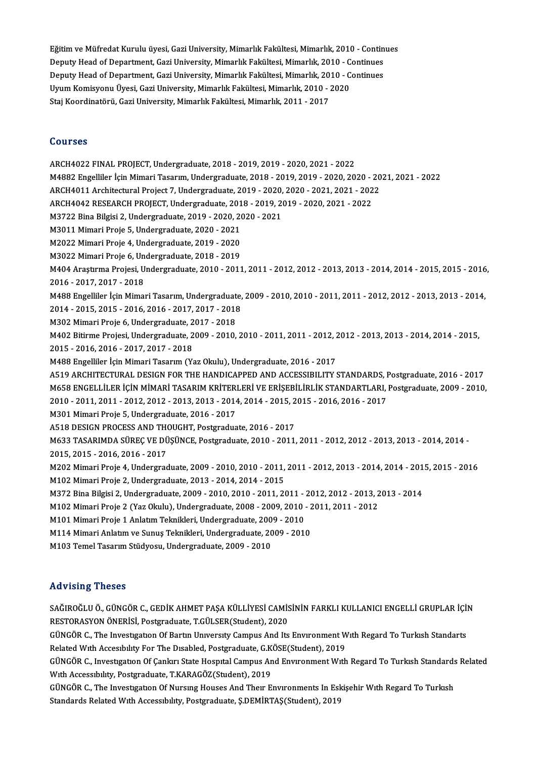Eğitim ve Müfredat Kurulu üyesi, Gazi University, Mimarlık Fakültesi, Mimarlık, 2010 - Continues<br>Denuty Heed of Denartment, Cazi University, Mimarlık Fakültesi, Mimarlık, 2010 - Continues Eğitim ve Müfredat Kurulu üyesi, Gazi University, Mimarlık Fakültesi, Mimarlık, 2010 - Contin<br>Deputy Head of Department, Gazi University, Mimarlık Fakültesi, Mimarlık, 2010 - Continues<br>Deputy Head of Department, Gazi Unive Eğitim ve Müfredat Kurulu üyesi, Gazi University, Mimarlık Fakültesi, Mimarlık, 2010 - Contin<br>Deputy Head of Department, Gazi University, Mimarlık Fakültesi, Mimarlık, 2010 - Continues<br>Deputy Head of Department, Gazi Unive Deputy Head of Department, Gazi University, Mimarlık Fakültesi, Mimarlık, 2010 - Continues<br>Deputy Head of Department, Gazi University, Mimarlık Fakültesi, Mimarlık, 2010 - Continues<br>Uyum Komisyonu Üyesi, Gazi University, M Uyum Komisyonu Üyesi, Gazi University, Mimarlık Fakültesi, Mimarlık, 2010 - 2020

### Courses

ARCH4022 FINAL PROJECT,Undergraduate,2018 -2019,2019 -2020,2021 -2022 M4882Engel iler İçinMimariTasarım,Undergraduate,2018 -2019,2019 -2020,2020 -2021,2021 -2022 ARCH4022 FINAL PROJECT, Undergraduate, 2018 - 2019, 2019 - 2020, 2021 - 2022<br>M4882 Engelliler İçin Mimari Tasarım, Undergraduate, 2018 - 2019, 2019 - 2020, 2020 - 20<br>ARCH4011 Architectural Project 7, Undergraduate, 2019 - M4882 Engelliler İçin Mimari Tasarım, Undergraduate, 2018 - 2019, 2019 - 2020, 2020 - 2<br>ARCH4011 Architectural Project 7, Undergraduate, 2019 - 2020, 2020 - 2021, 2021 - 202<br>ARCH4042 RESEARCH PROJECT, Undergraduate, 2018 -ARCH4011 Architectural Project 7, Undergraduate, 2019 - 2020,<br>ARCH4042 RESEARCH PROJECT, Undergraduate, 2018 - 2019, 20<br>M3722 Bina Bilgisi 2, Undergraduate, 2019 - 2020, 2020 - 2021<br>M3011 Mimori Proje 5, Undergraduate, 202 ARCH4042 RESEARCH PROJECT, Undergraduate, 2018 - 2019, 2019 - 2020, 2021 - 2022<br>M3722 Bina Bilgisi 2, Undergraduate, 2019 - 2020, 2020 - 2021<br>M3011 Mimari Proje 5, Undergraduate, 2020 - 2021<br>M2022 Mimari Proje 4, Undergrad M3722 Bina Bilgisi 2, Undergraduate, 2019 - 2020, 2020 - 2021 M3022MimariProje 6,Undergraduate,2018 -2019 M2022 Mimari Proje 4, Undergraduate, 2019 - 2020<br>M3022 Mimari Proje 6, Undergraduate, 2018 - 2019<br>M404 Araştırma Projesi, Undergraduate, 2010 - 2011, 2011 - 2012, 2012 - 2013, 2013 - 2014, 2014 - 2015, 2015 - 2016,<br>2016 - M3022 Mimari Proje 6, Un<br>M404 Araştırma Projesi, U<br>2016 - 2017, 2017 - 2018<br>M488 Engellilen İsin Mimes M404 Araştırma Projesi, Undergraduate, 2010 - 2011, 2011 - 2012, 2012 - 2013, 2013 - 2014, 2014 - 2015, 2015 - 2016<br>2016 - 2017, 2017 - 2018<br>M488 Engelliler İçin Mimari Tasarım, Undergraduate, 2009 - 2010, 2010 - 2011, 201 2016 - 2017, 2017 - 2018<br>M488 Engelliler İçin Mimari Tasarım, Undergraduate,<br>2014 - 2015, 2015 - 2016, 2016 - 2017, 2017 - 2018<br>M303 Mimari Preja 6, Undergraduate, 2017, 2019 M488 Engelliler İçin Mimari Tasarım, Undergraduat<br>2014 - 2015, 2015 - 2016, 2016 - 2017, 2017 - 2018<br>M302 Mimari Proje 6, Undergraduate, 2017 - 2018<br>M402 Bitirme Projeci Undergraduate, 2009, 2010 2014 - 2015, 2015 - 2016, 2016 - 2017, 2017 - 2018<br>M302 Mimari Proje 6, Undergraduate, 2017 - 2018<br>M402 Bitirme Projesi, Undergraduate, 2009 - 2010, 2010 - 2011, 2011 - 2012, 2012 - 2013, 2013 - 2014, 2014 - 2015,<br>2015 - 2 M302 Mimari Proje 6, Undergraduate, 2<br>M402 Bitirme Projesi, Undergraduate, 2<br>2015 - 2016, 2016 - 2017, 2017 - 2018<br>M422 Engelliler İsin Mimari Tasarım (V. M402 Bitirme Projesi, Undergraduate, 2009 - 2010, 2010 - 2011, 2011 - 2012, 2<br>2015 - 2016, 2016 - 2017, 2017 - 2018<br>M488 Engelliler İçin Mimari Tasarım (Yaz Okulu), Undergraduate, 2016 - 2017<br>A519 ARCHITECTURAL DESIGN FOR 2015 - 2016, 2016 - 2017, 2017 - 2018<br>M488 Engelliler İçin Mimari Tasarım (Yaz Okulu), Undergraduate, 2016 - 2017<br>A519 ARCHITECTURAL DESIGN FOR THE HANDICAPPED AND ACCESSIBILITY STANDARDS, Postgraduate, 2016 - 2017<br>M659 EN M488 Engelliler İçin Mimari Tasarım (Yaz Okulu), Undergraduate, 2016 - 2017<br>A519 ARCHITECTURAL DESIGN FOR THE HANDICAPPED AND ACCESSIBILITY STANDARDS, Postgraduate, 2016 - 2017<br>M658 ENGELLİLER İÇİN MİMARİ TASARIM KRİTERLER A519 ARCHITECTURAL DESIGN FOR THE HANDICAPPED AND ACCESSIBILITY STANDARDS, I<br>M658 ENGELLİLER İÇİN MİMARİ TASARIM KRİTERLERİ VE ERİŞEBİLİRLİK STANDARTLARI,<br>2010 - 2011, 2011 - 2012, 2012 - 2013, 2013 - 2014, 2014 - 2015, 20 M658 ENGELLİLER İÇİN MİMARİ TASARIM KRİTER<br>2010 - 2011, 2011 - 2012, 2012 - 2013, 2013 - 2014<br>M301 Mimari Proje 5, Undergraduate, 2016 - 2017<br>A518 DESICN PROGESS AND THOUGHT Bostaredua 2010 - 2011, 2011 - 2012, 2012 - 2013, 2013 - 2014, 2014 - 2015, 2<br>M301 Mimari Proje 5, Undergraduate, 2016 - 2017<br>A518 DESIGN PROCESS AND THOUGHT, Postgraduate, 2016 - 2017<br>M622 TASARIMDA SÜREC VE DÜSÜNCE Bostgraduate, 20 M301 Mimari Proje 5, Undergraduate, 2016 - 2017<br>A518 DESIGN PROCESS AND THOUGHT, Postgraduate, 2016 - 2017<br>M633 TASARIMDA SÜREÇ VE DÜŞÜNCE, Postgraduate, 2010 - 2011, 2011 - 2012, 2012 - 2013, 2013 - 2014, 2014 -<br>2015, 201 A518 DESIGN PROCESS AND THO<br>M633 TASARIMDA SÜREÇ VE DÜ<br>2015, 2015 - 2016, 2016 - 2017<br>M303 Mimari Proje 4, Undergrad M633 TASARIMDA SÜREÇ VE DÜŞÜNCE, Postgraduate, 2010 - 2011, 2011 - 2012, 2012 - 2013, 2013 - 2014, 2014 -<br>2015, 2015 - 2016, 2016 - 2017<br>M202 Mimari Proje 4, Undergraduate, 2009 - 2010, 2010 - 2011, 2011 - 2012, 2013 - 201 2015, 2015 - 2016, 2016 - 2017<br>M202 Mimari Proje 4, Undergraduate, 2009 - 2010, 2010 - 2011, 2011 - 2012, 2013 - 2014, 2014 - 2015, 2015 - 2016<br>M102 Mimari Proje 2, Undergraduate, 2013 - 2014, 2014 - 2015 M202 Mimari Proje 4, Undergraduate, 2009 - 2010, 2010 - 2011, 2011 - 2012, 2013 - 2014, 2014 - 201<br>M102 Mimari Proje 2, Undergraduate, 2013 - 2014, 2014 - 2015<br>M372 Bina Bilgisi 2, Undergraduate, 2009 - 2010, 2010 - 2011, M102 Mimari Proje 2, Undergraduate, 2013 - 2014, 2014 - 2015<br>M372 Bina Bilgisi 2, Undergraduate, 2009 - 2010, 2010 - 2011, 2011 - 2012, 2012 - 2013, 2<br>M102 Mimari Proje 2 (Yaz Okulu), Undergraduate, 2008 - 2009, 2010 - 201 M372 Bina Bilgisi 2, Undergraduate, 2009 - 2010, 2010 - 2011, 2011 -<br>M102 Mimari Proje 2 (Yaz Okulu), Undergraduate, 2008 - 2009, 2010<br>M101 Mimari Proje 1 Anlatım Teknikleri, Undergraduate, 2009 - 2010<br>M114 Mimari Anlatım M102 Mimari Proje 2 (Yaz Okulu), Undergraduate, 2008 - 2009, 2010 - 2011, 2011 - 2012<br>M101 Mimari Proje 1 Anlatım Teknikleri, Undergraduate, 2009 - 2010<br>M114 Mimari Anlatım ve Sunuş Teknikleri, Undergraduate, 2009 - 2010 M103TemelTasarımStüdyosu,Undergraduate,2009 -2010

### Advising Theses

Advising Theses<br>SAĞIROĞLU Ö., GÜNGÖR C., GEDİK AHMET PAŞA KÜLLİYESİ CAMİSİNİN FARKLI KULLANICI ENGELLİ GRUPLAR İÇİN<br>RESTORASYON ÖNERİSİ, Restandusta T.CÜLSER(Student), 2020 rra vising "Insses"<br>SAĞIROĞLU Ö., GÜNGÖR C., GEDİK AHMET PAŞA KÜLLİYESİ CAMİS<br>RESTORASYON ÖNERİSİ, Postgraduate, T.GÜLSER(Student), 2020<br>CÜNGÖR G. The Investigation Of Bertin University Campus And Ita SAĞIROĞLU Ö., GÜNGÖR C., GEDİK AHMET PAŞA KÜLLİYESİ CAMİSİNİN FARKLI KULLANICI ENGELLİ GRUPLAR İÇİ!<br>RESTORASYON ÖNERİSİ, Postgraduate, T.GÜLSER(Student), 2020<br>GÜNGÖR C., The Investigation Of Bartin University Campus And It RESTORASYON ÖNERİSİ, Postgraduate, T.GÜLSER(Student), 2020<br>GÜNGÖR C., The Investigation Of Bartin University Campus And Its Environment W<br>Related With Accesibility For The Disabled, Postgraduate, G.KÖSE(Student), 2019<br>CÜNG GÜNGÖR C., The Investigation Of Bartin University Campus And Its Environment With Regard To Turkish Standarts<br>Related With Accesibility For The Disabled, Postgraduate, G.KÖSE(Student), 2019<br>GÜNGÖR C., Investigation Of Çank Related Wıth Accesibility For The Disabled, Postgraduate, G.KÖSE(Student), 2019<br>GÜNGÖR C., Investigation Of Çankırı State Hospital Campus And Environment With Regard To Turkish Standards Related<br>With Accessibility, Postgra GÜNGÖR C., Investıgatıon Of Çankırı State Hospital Campus And Environment With Regard To Turkish Standards<br>With Accessibility, Postgraduate, T.KARAGÖZ(Student), 2019<br>GÜNGÖR C., The Investigation Of Nursing Houses And Their With Accessibility, Postgraduate, T.KARAGÖZ(Student), 2019<br>GÜNGÖR C., The Investigation Of Nursing Houses And Their Environments In Esl<br>Standards Related With Accessibility, Postgraduate, Ş.DEMİRTAŞ(Student), 2019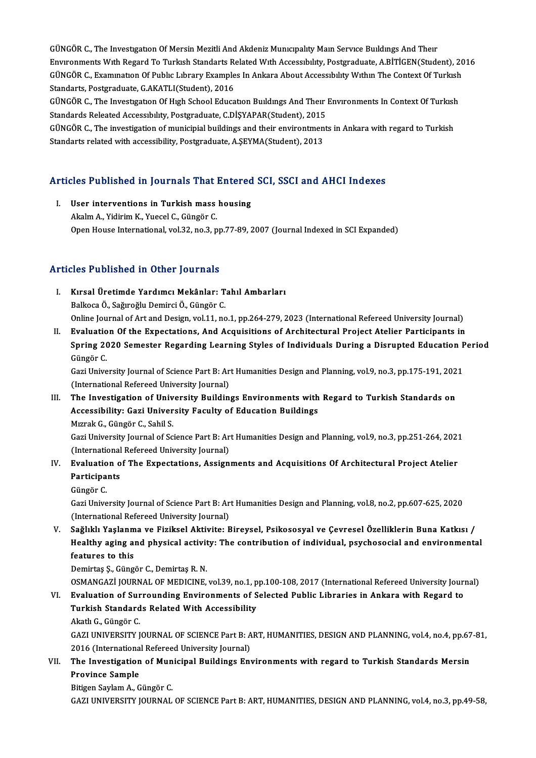GÜNGÖR C., The Investigation Of Mersin Mezitli And Akdeniz Municipality Main Service Buildings And Their GÜNGÖR C., The Investigation Of Mersin Mezitli And Akdeniz Municipality Main Service Buildings And Their<br>Environments With Regard To Turkish Standarts Related With Accessibility, Postgraduate, A.BİTİGEN(Student), 2016<br>CÜNG GÜNGÖR C., The Investigation Of Mersin Mezitli And Akdeniz Municipality Main Service Buildings And Their<br>Environments With Regard To Turkish Standarts Related With Accessibility, Postgraduate, A.BİTİGEN(Student), 20<br>GÜNGÖR Environments With Regard To Turkish Standarts Re<br>GÜNGÖR C., Examination Of Public Library Example<br>Standarts, Postgraduate, G.AKATLI(Student), 2016<br>GÜNGÖR G. The Investigation Of High School Educe GÜNGÖR C., Examınatıon Of Public Library Examples In Ankara About Accessibility Within The Context Of Turkish<br>Standarts, Postgraduate, G.AKATLI(Student), 2016<br>GÜNGÖR C., The Investigation Of High School Education Buildings

Standarts, Postgraduate, G.AKATLI(Student), 2016<br>GÜNGÖR C., The Investigation Of High School Education Buildings And Their<br>Standards Releated Accessibility, Postgraduate, C.DİŞYAPAR(Student), 2015<br>CÜNGÖR G. The investigati GÜNGÖR C., The Investigation Of High School Education Buildings And Their Environments In Context Of Turkish<br>Standards Releated Accessibility, Postgraduate, C.DİŞYAPAR(Student), 2015<br>GÜNGÖR C., The investigation of municip

Standards Releated Accessibility, Postgraduate, C.DİŞYAPAR(Student), 2015<br>GÜNGÖR C., The investigation of municipial buildings and their environtments in Ankara with regard to Turkish<br>Standarts related with accessibility,

# Standarts related with accessibility, rostgraduate, A.3ETMA(Student), 2013<br>Articles Published in Journals That Entered SCI, SSCI and AHCI Indexes

**Tricles Published in Journals That Entered**<br>I. User interventions in Turkish mass housing<br>Alralm A. Vidinim K. Yuesel G. Güngör G. I. User interventions in Turkish mass housing<br>Akalm A., Yidirim K., Yuecel C., Güngör C. Open House International, vol.32, no.3, pp.77-89, 2007 (Journal Indexed in SCI Expanded)

# Articles Published in Other Journals

- I. Kırsal Üretimde Yardımcı Mekânlar: Tahıl Ambarları Balkoca Ö., Sağıroğlu Demirci Ö., Güngör C. Online Journal of Art and Design, vol.11, no.1, pp.264-279, 2023 (International Refereed University Journal) Balkoca Ö., Sağıroğlu Demirci Ö., Güngör C.<br>Online Journal of Art and Design, vol.11, no.1, pp.264-279, 2023 (International Refereed University Journal)<br>II. Evaluation Of the Expectations, And Acquisitions of Architectural
- Online Journal of Art and Design, vol.11, no.1, pp.264-279, 2023 (International Refereed University Journal)<br>Evaluation Of the Expectations, And Acquisitions of Architectural Project Atelier Participants in<br>Spring 2020 Sem <mark>Evaluatio</mark><br>Spring 20<br>Güngör C.<br>Cari Unive Spring 2020 Semester Regarding Learning Styles of Individuals During a Disrupted Education P<br>Güngör C.<br>Gazi University Journal of Science Part B: Art Humanities Design and Planning, vol.9, no.3, pp.175-191, 2021<br>(Internati

Güngör C.<br>Gazi University Journal of Science Part B: Art Humanities Design and Planning, vol.9, no.3, pp.175-191, 2021<br>(International Refereed University Journal) Gazi University Journal of Science Part B: Art Humanities Design and Planning, vol.9, no.3, pp.175-191, 202<br>(International Refereed University Journal)<br>III. The Investigation of University Buildings Environments with Regar

(International Refereed University Journal)<br>The Investigation of University Buildings Environments with<br>Accessibility: Gazi University Faculty of Education Buildings<br>Murak C. Güngör C. Sabil S The Investigation of Univ<br>Accessibility: Gazi Univer<br>Mızrak G., Güngör C., Sahil S.<br>Cari University Journal of Sa Accessibility: Gazi University Faculty of Education Buildings<br>Mızrak G., Güngör C., Sahil S.<br>Gazi University Journal of Science Part B: Art Humanities Design and Planning, vol.9, no.3, pp.251-264, 2021<br>(International Refer

Mızrak G., Güngör C., Sahil S.<br>Gazi University Journal of Science Part B: Ar<br>(International Refereed University Journal)<br>Evaluation of The Eunestational Assian Gazi University Journal of Science Part B: Art Humanities Design and Planning, vol.9, no.3, pp.251-264, 202<br>(International Refereed University Journal)<br>IV. Evaluation of The Expectations, Assignments and Acquisitions Of Ar

# (International)<br>Evaluation o<br>Participants <mark>Evaluatio</mark><br>Participa<br>Güngör C.<br>Cazi Unive Participants<br>Güngör C.<br>Gazi University Journal of Science Part B: Art Humanities Design and Planning, vol.8, no.2, pp.607-625, 2020

(International Refereed University Journal) Gazi University Journal of Science Part B: Art Humanities Design and Planning, vol.8, no.2, pp.607-625, 2020<br>(International Refereed University Journal)<br>V. Sağlıklı Yaşlanma ve Fiziksel Aktivite: Bireysel, Psikososyal ve Ç

(International Refereed University Journal)<br>Sağlıklı Yaşlanma ve Fiziksel Aktivite: Bireysel, Psikososyal ve Çevresel Özelliklerin Buna Katkısı /<br>Healthy aging and physical activity: The contribution of individual, psychos Sağlıklı Yaşlanm<br>Healthy aging al<br>features to this<br>Demirtes S. Güng Healthy aging and physical activit<br>features to this<br>Demirtaş Ş., Güngör C., Demirtaş R. N.<br>OSMANCAZİ JOUPMAL OF MEDICINE features to this<br>Demirtaş Ş., Güngör C., Demirtaş R. N.<br>OSMANGAZİ JOURNAL OF MEDICINE, vol.39, no.1, pp.100-108, 2017 (International Refereed University Journal)

# Demirtaş Ş., Güngör C., Demirtaş R. N.<br>OSMANGAZİ JOURNAL OF MEDICINE, vol.39, no.1, pp.100-108, 2017 (International Refereed University Jour)<br>VI. Byaluation of Surrounding Environments of Selected Public Libraries in Ankar OSMANGAZİ JOURNAL OF MEDICINE, vol.39, no.1, p<br>Evaluation of Surrounding Environments of S<br>Turkish Standards Related With Accessibility<br>Akath C. Cüngör C Evaluation of Sur<br>Turkish Standard<br>Akatlı G., Güngör C.<br>CAZLUNIVERSITY L Turkish Standards Related With Accessibility<br>Akatlı G., Güngör C.<br>GAZI UNIVERSITY JOURNAL OF SCIENCE Part B: ART, HUMANITIES, DESIGN AND PLANNING, vol.4, no.4, pp.67-81,<br>2016 (International Refereed University Journal)

Akatlı G., Güngör C.<br>GAZI UNIVERSITY JOURNAL OF SCIENCE Part B: A<br>2016 (International Refereed University Journal)<br>The Investisation of Munisinal Buildings En: GAZI UNIVERSITY JOURNAL OF SCIENCE Part B: ART, HUMANITIES, DESIGN AND PLANNING, vol.4, no.4, pp.67<br>2016 (International Refereed University Journal)<br>VII. The Investigation of Municipal Buildings Environments with regard to

# 2016 (International Refereed University Journal)<br>The Investigation of Municipal Buildings En<br>Province Sample<br>Bitigen Saylam A., Güngör C. VII. The Investigation of Municipal Buildings Environments with regard to Turkish Standards Mersin

GAZI UNIVERSITY JOURNAL OF SCIENCE Part B: ART, HUMANITIES, DESIGN AND PLANNING, vol.4, no.3, pp.49-58,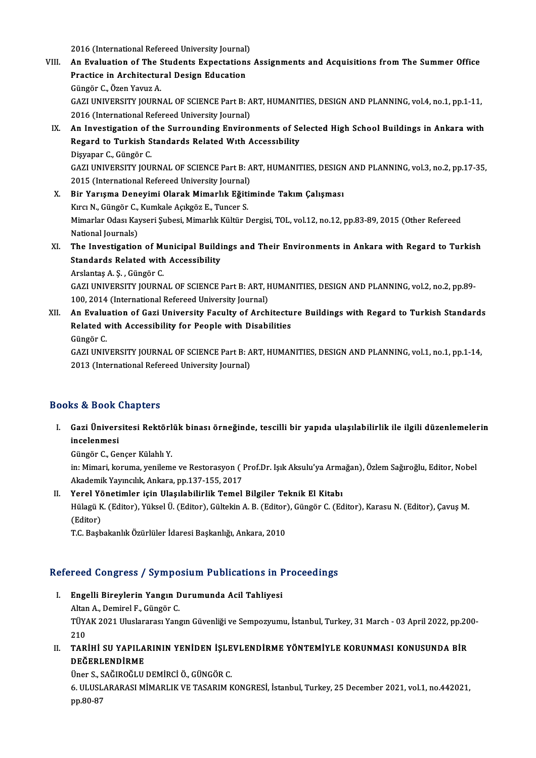2016 (International Refereed University Journal)<br>An Evaluation of The Students Expectations

- 2016 (International Refereed University Journal)<br>VIII. An Evaluation of The Students Expectations Assignments and Acquisitions from The Summer Office 2016 (International Refereed University Journal)<br>An Evaluation of The Students Expectation:<br>Practice in Architectural Design Education<br>Cüngên C. Ören Youw A An Evaluation of The S<br>Practice in Architectur<br>Güngör C., Özen Yavuz A.<br>CAZLUNIVERSITY JOURN Practice in Architectural Design Education<br>Güngör C., Özen Yavuz A.<br>GAZI UNIVERSITY JOURNAL OF SCIENCE Part B: ART, HUMANITIES, DESIGN AND PLANNING, vol.4, no.1, pp.1-11,<br>2016 (International Befereed University Journal) Güngör C., Özen Yavuz A.<br>GAZI UNIVERSITY JOURNAL OF SCIENCE Part B: A<br>2016 (International Refereed University Journal)<br>An Investigation of the Surrounding Enviror GAZI UNIVERSITY JOURNAL OF SCIENCE Part B: ART, HUMANITIES, DESIGN AND PLANNING, vol.4, no.1, pp.1-11,<br>2016 (International Refereed University Journal)<br>IX. An Investigation of the Surrounding Environments of Selected High
- 2016 (International Refereed University Journal)<br>An Investigation of the Surrounding Environments of Se<br>Regard to Turkish Standards Related With Accessibility<br>Disvaper C. Güngör C **An Investigation of<br>Regard to Turkish S<br>Dişyapar C., Güngör C.<br>CAZLUNIVERSITY JOU** Regard to Turkish Standards Related With Accessibility<br>Dişyapar C., Güngör C.<br>GAZI UNIVERSITY JOURNAL OF SCIENCE Part B: ART, HUMANITIES, DESIGN AND PLANNING, vol.3, no.2, pp.17-35,<br>2015 (International Refereed University Dişyapar C., Güngör C.<br>GAZI UNIVERSITY JOURNAL OF SCIENCE Part B: A<br>2015 (International Refereed University Journal)<br>Bir Vorusma Donavimi Olanak Mimarlık Eğitir GAZI UNIVERSITY JOURNAL OF SCIENCE Part B: ART, HUMANITIES, DESIGN<br>2015 (International Refereed University Journal)<br>X. Bir Yarışma Deneyimi Olarak Mimarlık Eğitiminde Takım Çalışması<br>Kıra N. Güngör C. Kumlala Asılgöz E. Tu
- 2015 (International Refereed University Journal)<br>X. Bir Yarışma Deneyimi Olarak Mimarlık Eğitiminde Takım Çalışması<br>Kırcı N., Güngör C., Kumkale Açıkgöz E., Tuncer S. Bir Yarışma Deneyimi Olarak Mimarlık Eğitiminde Takım Çalışması<br>Kırcı N., Güngör C., Kumkale Açıkgöz E., Tuncer S.<br>Mimarlar Odası Kayseri Şubesi, Mimarlık Kültür Dergisi, TOL, vol.12, no.12, pp.83-89, 2015 (Other Refereed<br> Kırcı N., Güngör C.,<br>Mimarlar Odası Kay<br>National Journals)<br>The Investisation Mimarlar Odası Kayseri Şubesi, Mimarlık Kültür Dergisi, TOL, vol.12, no.12, pp.83-89, 2015 (Other Refereed<br>National Journals)<br>XI. The Investigation of Municipal Buildings and Their Environments in Ankara with Regard to Tur
- National Journals)<br>The Investigation of Municipal Buildi<br>Standards Related with Accessibility<br>Arelantes A.S. Güngör G The Investigation of Mi<br>Standards Related with<br>Arslantaş A.Ş., Güngör C.<br>CAZLUNIVERSITY JOURN

Standards Related with Accessibility<br>Arslantaş A. Ş. , Güngör C.<br>GAZI UNIVERSITY JOURNAL OF SCIENCE Part B: ART, HUMANITIES, DESIGN AND PLANNING, vol.2, no.2, pp.89-<br>100, 2014 (International Refereed University Journal) Arslantaş A. Ş. , Güngör C.<br>GAZI UNIVERSITY JOURNAL OF SCIENCE Part B: ART, F<br>100, 2014 (International Refereed University Journal)<br>An Evaluation of Cari University Fosulty of Arab GAZI UNIVERSITY JOURNAL OF SCIENCE Part B: ART, HUMANITIES, DESIGN AND PLANNING, vol.2, no.2, pp.89-<br>100, 2014 (International Refereed University Journal)<br>XII. An Evaluation of Gazi University Faculty of Architecture Build

100, 2014 (International Refereed University Journal)<br>An Evaluation of Gazi University Faculty of Architectu<br>Related with Accessibility for People with Disabilities<br>Sünger C An Evalu:<br>Related v<br>Güngör C.<br>CAZUNN Related with Accessibility for People with Disabilities<br>Güngör C.<br>GAZI UNIVERSITY JOURNAL OF SCIENCE Part B: ART, HUMANITIES, DESIGN AND PLANNING, vol.1, no.1, pp.1-14,<br>2012 (International Befereed University Journal)

Güngör C.<br>GAZI UNIVERSITY JOURNAL OF SCIENCE Part B: A<br>2013 (International Refereed University Journal) 2013 (International Refereed University Journal)<br>Books & Book Chapters

ooks & Book Chapters<br>I. Gazi Üniversitesi Rektörlük binası örneğinde, tescilli bir yapıda ulaşılabilirlik ile ilgili düzenlemelerin<br>İngelenmesi is & Book<br>Gazi Ünivers<br>incelenmesi Gazi Üniversitesi Rektörl<br>incelenmesi<br>Güngör C., Gençer Külahlı Y.<br>in: Mimari Jranuma yanılamı

incelenmesi<br>Güngör C., Gençer Külahlı Y.<br>in: Mimari, koruma, yenileme ve Restorasyon ( Prof.Dr. Işık Aksulu'ya Armağan), Özlem Sağıroğlu, Editor, Nobel Güngör C., Gençer Külahlı Y.<br>in: Mimari, koruma, yenileme ve Restorasyon ( I<br>Akademik Yayıncılık, Ankara, pp.137-155, 2017<br>Yenel Vönetimler isin Ulseylebilirlik Temel

Akademik Yayıncılık, Ankara, pp.137-155, 2017<br>II. Yerel Yönetimler için Ulaşılabilirlik Temel Bilgiler Teknik El Kitabı

Akademik Yayıncılık, Ankara, pp.137-155, 2017<br>Yerel Yönetimler için Ulaşılabilirlik Temel Bilgiler Teknik El Kitabı<br>Hülagü K. (Editor), Yüksel Ü. (Editor), Gültekin A. B. (Editor), Güngör C. (Editor), Karasu N. (Editor), Ç **Yerel Yö<br>Hülagü K<br>(Editor)<br>T.C. Bash** Hülagü K. (Editor), Yüksel Ü. (Editor), Gültekin A. B. (Editor)<br>(Editor)<br>T.C. Başbakanlık Özürlüler İdaresi Başkanlığı, Ankara, 2010

# 1.C. Başbakanlık Ozurluler idaresi Başkanlığı, Ankara, 2010<br>Refereed Congress / Symposium Publications in Proceedings

- efereed Congress / Symposium Publications in F<br>I. Engelli Bireylerin Yangın Durumunda Acil Tahliyesi<br>Altan A. Demirel E. Güngör C I. Engelli Bireylerin Yangın Durumunda Acil Tahliyesi<br>Altan A., Demirel F., Güngör C. <mark>Engelli Bireylerin Yangın Durumunda Acil Tahliyesi</mark><br>Altan A., Demirel F., Güngör C.<br>TÜYAK 2021 Uluslararası Yangın Güvenliği ve Sempozyumu, İstanbul, Turkey, 31 March - 03 April 2022, pp.200-<br>210 Altar<br>TÜY*l*<br>210<br>TAP TÜYAK 2021 Uluslararası Yangın Güvenliği ve Sempozyumu, İstanbul, Turkey, 31 March - 03 April 2022, pp.20<br>210<br>II. TARİHİ SU YAPILARININ YENİDEN İŞLEVLENDİRME YÖNTEMİYLE KORUNMASI KONUSUNDA BİR<br>DEĞERI ENDİRME
- 210<br>TARİHİ SU YAPILA<br>DEĞERLENDİRME<br>Üner S. SAĞIRQĞLU TARİHİ SU YAPILARININ YENİDEN İŞLE<br>DEĞERLENDİRME<br>Üner S., SAĞIROĞLU DEMİRCİ Ö., GÜNGÖR C.<br>6. III USLARARASI MİMARI IK VE TASARIM K

DEĞERLENDİRME<br>Üner S., SAĞIROĞLU DEMİRCİ Ö., GÜNGÖR C.<br>6. ULUSLARARASI MİMARLIK VE TASARIM KONGRESİ, İstanbul, Turkey, 25 December 2021, vol.1, no.442021,<br>pp.90.97 Üner S., S<br>6. ULUSL<br>pp.80-87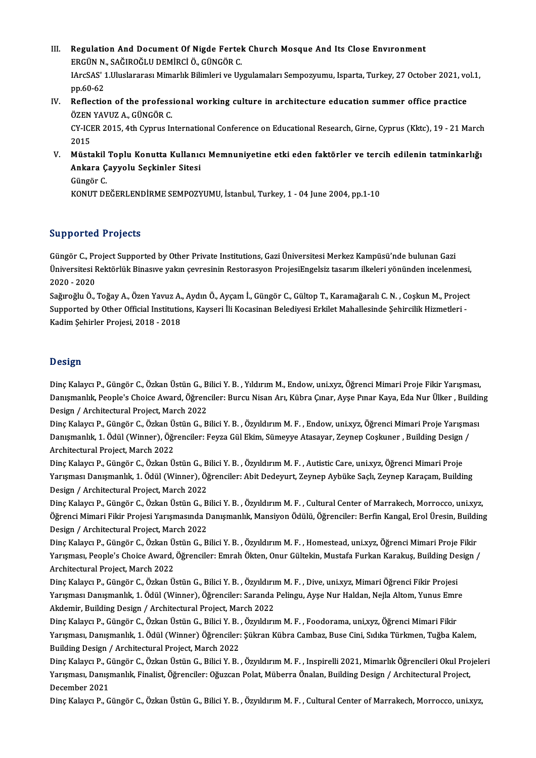- III. Regulation And Document Of Nigde Fertek Church Mosque And Its Close Environment<br>FRCÜN N. SAĞIROĞLU DEMIRCİ Ö. GÜNGÖR C Regulation And Document Of Nigde Fertel<br>ERGÜN N., SAĞIROĞLU DEMİRCİ Ö., GÜNGÖR C.<br>JAreSAS' 1 Uluslarares: Mimarlık Bilimleri ve Un IArcSAS' 1.Uluslararası Mimarlık Bilimleri ve Uygulamaları Sempozyumu, Isparta, Turkey, 27 October 2021, vol.1,<br>pp.60-62 ERGÜN N., SAĞIROĞLU DEMİRCİ Ö., GÜNGÖR C. IArcSAS' 1.Uluslararası Mimarlık Bilimleri ve Uygulamaları Sempozyumu, Isparta, Turkey, 27 October 2021, vc<br>pp.60-62<br>IV. Reflection of the professional working culture in architecture education summer office practice<br>ÖZEN
- pp.60-62<br>Reflection of the profess<br>ÖZEN YAVUZ A., GÜNGÖR C.<br>CY ICEP 2015, 4th Cynrus In Reflection of the professional working culture in architecture education summer office practice<br>ÖZEN YAVUZ A., GÜNGÖR C.<br>CY-ICER 2015, 4th Cyprus International Conference on Educational Research, Girne, Cyprus (Kktc), 19 -

ÖZEN<br>CY-ICI<br>2015<br>Müsts CY-ICER 2015, 4th Cyprus International Conference on Educational Research, Girne, Cyprus (Kktc), 19 - 21 March<br>2015<br>V. Müstakil Toplu Konutta Kullanıcı Memnuniyetine etki eden faktörler ve tercih edilenin tatminkarlığı<br>Ank

2015<br>Müstakil Toplu Konutta Kullanıc<br>Ankara Çayyolu Seçkinler Sitesi<br>Güngêr C Müstakil<br>Ankara Ç<br>Güngör C.<br>KONUT DE Ankara Çayyolu Seçkinler Sitesi<br>Güngör C.<br>KONUT DEĞERLENDİRME SEMPOZYUMU, İstanbul, Turkey, 1 - 04 June 2004, pp.1-10

# Supported Projects

Güngör C., Project Supported by Other Private Institutions, Gazi Üniversitesi Merkez Kampüsü'nde bulunan Gazi Unipportical Frojcels<br>Güngör C., Project Supported by Other Private Institutions, Gazi Üniversitesi Merkez Kampüsü'nde bulunan Gazi<br>Üniversitesi Rektörlük Binasıve yakın çevresinin Restorasyon ProjesiEngelsiz tasarım ilkel Güngör C., Pr<br>Üniversitesi F<br>2020 - 2020<br>Soğungğlu Ö Üniversitesi Rektörlük Binasıve yakın çevresinin Restorasyon ProjesiEngelsiz tasarım ilkeleri yönünden incelenmesi,<br>2020 - 2020<br>Sağıroğlu Ö., Toğay A., Özen Yavuz A., Aydın Ö., Ayçam İ., Güngör C., Gültop T., Karamağaralı

2020 - 2020<br>Sağıroğlu Ö., Toğay A., Özen Yavuz A., Aydın Ö., Ayçam İ., Güngör C., Gültop T., Karamağaralı C. N. , Coşkun M., Project<br>Supported by Other Official Institutions, Kayseri İli Kocasinan Belediyesi Erkilet Mahall Sağıroğlu Ö., Toğay A., Özen Yavuz A.,<br>Supported by Other Official Institutio<br>Kadim Şehirler Projesi, 2018 - 2018 Kadim Şehirler Projesi, 2018 - 2018<br>Design

**Design<br>Dinç Kalaycı P., Güngör C., Özkan Üstün G., Bilici Y. B. , Yıldırım M., Endow, uni.xyz, Öğrenci Mimari Proje Fikir Yarışması,<br>Danışmanlık Reenle's Chaise Award, Öğrenciler: Burgu Nisan Arı, Kühre Cınar, Aves Buar K** D'Osişir<br>Dinç Kalaycı P., Güngör C., Özkan Üstün G., Bilici Y. B. , Yıldırım M., Endow, uni.xyz, Öğrenci Mimari Proje Fikir Yarışması,<br>Danışmanlık, People's Choice Award, Öğrenciler: Burcu Nisan Arı, Kübra Çınar, Ayşe Pına Dinç Kalaycı P., Güngör C., Özkan Üstün G., B<br>Danışmanlık, People's Choice Award, Öğrend<br>Design / Architectural Project, March 2022<br>Dine Kalaya B. Güngör G. Örkan Üstün G. B Danışmanlık, People's Choice Award, Öğrenciler: Burcu Nisan Arı, Kübra Çınar, Ayşe Pınar Kaya, Eda Nur Ülker , Buildi<mark><br>Design / Architectural Project, March 2022</mark><br>Dinç Kalaycı P., Güngör C., Özkan Üstün G., Bilici Y. B. ,

Design / Architectural Project, March 2022<br>Dinç Kalaycı P., Güngör C., Özkan Üstün G., Bilici Y. B. , Özyıldırım M. F. , Endow, uni.xyz, Öğrenci Mimari Proje Yarışma<br>Danışmanlık, 1. Ödül (Winner), Öğrenciler: Feyza Gül Eki Dinç Kalaycı P., Güngör C., Özkan Ü.<br>Danışmanlık, 1. Ödül (Winner), Öğı<br>Architectural Project, March 2022<br>Dina Kalaya: P., Güngör C., Özkan Ü. Danışmanlık, 1. Ödül (Winner), Öğrenciler: Feyza Gül Ekim, Sümeyye Atasayar, Zeynep Coşkuner , Building Design<br>Architectural Project, March 2022<br>Dinç Kalaycı P., Güngör C., Özkan Üstün G., Bilici Y. B. , Özyıldırım M. F. ,

Architectural Project, March 2022<br>Dinç Kalaycı P., Güngör C., Özkan Üstün G., Bilici Y. B. , Özyıldırım M. F. , Autistic Care, uni.xyz, Öğrenci Mimari Proje<br>Yarışması Danışmanlık, 1. Ödül (Winner), Öğrenciler: Abit Dedeyur Dinç Kalaycı P., Güngör C., Özkan Üstün G., B<br>Yarışması Danışmanlık, 1. Ödül (Winner), Öğ<br>Design / Architectural Project, March 2022<br>Dinc Kalaycı B. Güngör G. Özkan Üstün G. B

Design / Architectural Project, March 2022<br>Dinç Kalaycı P., Güngör C., Özkan Üstün G., Bilici Y. B. , Özyıldırım M. F. , Cultural Center of Marrakech, Morrocco, uni.xyz, Design / Architectural Project, March 2022<br>Dinç Kalaycı P., Güngör C., Özkan Üstün G., Bilici Y. B. , Özyıldırım M. F. , Cultural Center of Marrakech, Morrocco, uni.xyz,<br>Öğrenci Mimari Fikir Projesi Yarışmasında Danışmanlı Dinç Kalaycı P., Güngör C., Özkan Üstün G., B<br>Öğrenci Mimari Fikir Projesi Yarışmasında D<br>Design / Architectural Project, March 2022<br>Dinc Kalaysı B. Güngör G. Özkan Üstün G. B Öğrenci Mimari Fikir Projesi Yarışmasında Danışmanlık, Mansiyon Ödülü, Öğrenciler: Berfin Kangal, Erol Üresin, Buildi<br>Design / Architectural Project, March 2022<br>Dinç Kalaycı P., Güngör C., Özkan Üstün G., Bilici Y. B. , Öz

Design / Architectural Project, March 2022<br>Dinç Kalaycı P., Güngör C., Özkan Üstün G., Bilici Y. B. , Özyıldırım M. F. , Homestead, uni.xyz, Öğrenci Mimari Proje Fikir<br>Yarışması, People's Choice Award, Öğrenciler: Emrah Ök Dinç Kalaycı P., Güngör C., Özkan Ü.<br>Yarışması, People's Choice Award,<br>Architectural Project, March 2022<br>Dine Kalaycı B. Güngör C. Özkan Ü. Yarışması, People's Choice Award, Öğrenciler: Emrah Ökten, Onur Gültekin, Mustafa Furkan Karakuş, Building De<br>Architectural Project, March 2022<br>Dinç Kalaycı P., Güngör C., Özkan Üstün G., Bilici Y. B. , Özyıldırım M. F. ,

Architectural Project, March 2022<br>Dinç Kalaycı P., Güngör C., Özkan Üstün G., Bilici Y. B. , Özyıldırım M. F. , Dive, uni.xyz, Mimari Öğrenci Fikir Projesi<br>Yarışması Danışmanlık, 1. Ödül (Winner), Öğrenciler: Saranda Pelin Dinç Kalaycı P., Güngör C., Özkan Üstün G., Bilici Y. B. , Özyıldırı<br>Yarışması Danışmanlık, 1. Ödül (Winner), Öğrenciler: Saranda<br>Akdemir, Building Design / Architectural Project, March 2022<br>Dine Kalaya B. Güngör G. Örkan Yarışması Danışmanlık, 1. Ödül (Winner), Öğrenciler: Saranda Pelingu, Ayşe Nur Haldan, Nejla Altom, Yunus Emr<br>Akdemir, Building Design / Architectural Project, March 2022<br>Dinç Kalaycı P., Güngör C., Özkan Üstün G., Bilici

Akdemir, Building Design / Architectural Project, March 2022<br>Dinç Kalaycı P., Güngör C., Özkan Üstün G., Bilici Y. B. , Özyıldırım M. F. , Foodorama, uni,xyz, Öğrenci Mimari Fikir<br>Yarışması, Danışmanlık, 1. Ödül (Winner) Ö Dinç Kalaycı P., Güngör C., Özkan Üstün G., Bilici Y. B.<br>Yarışması, Danışmanlık, 1. Ödül (Winner) Öğrenciler:<br>Building Design / Architectural Project, March 2022<br>Dine Kalaya: B. Güngör G. Özkan Üstün G. Bilici Y. B Yarışması, Danışmanlık, 1. Ödül (Winner) Öğrenciler: Şükran Kübra Cambaz, Buse Cini, Sıdıka Türkmen, Tuğba Kalem,<br>Building Design / Architectural Project, March 2022<br>Dinç Kalaycı P., Güngör C., Özkan Üstün G., Bilici Y. B.

Building Design / Architectural Project, March 2022<br>Dinç Kalaycı P., Güngör C., Özkan Üstün G., Bilici Y. B. , Özyıldırım M. F. , Inspirelli 2021, Mimarlık Öğrencileri Okul Pro<br>Yarışması, Danışmanlık, Finalist, Öğrenciler: Dinç Kalaycı P., G<br>Yarışması, Danışı<br>December 2021<br>Dinç Kalayçı B. G December 2021<br>Dinç Kalaycı P., Güngör C., Özkan Üstün G., Bilici Y. B. , Özyıldırım M. F. , Cultural Center of Marrakech, Morrocco, uni.xyz,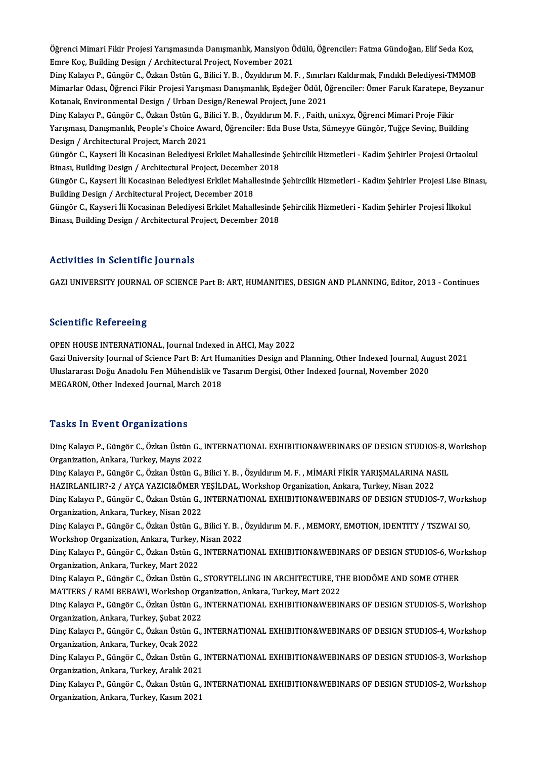Öğrenci Mimari Fikir Projesi Yarışmasında Danışmanlık, Mansiyon Ödülü, Öğrenciler: Fatma Gündoğan, Elif Seda Koz,<br>Enne Kos, Puilding Design / Anshitestunal Preject, Nevember 2021 Emre Koç, Building Design / Architectural Project, November 2021 Öğrenci Mimari Fikir Projesi Yarışmasında Danışmanlık, Mansiyon Ödülü, Öğrenciler: Fatma Gündoğan, Elif Seda Koz,<br>Emre Koç, Building Design / Architectural Project, November 2021<br>Dinç Kalaycı P., Güngör C., Özkan Üstün G.,

Emre Koç, Building Design / Architectural Project, November 2021<br>Dinç Kalaycı P., Güngör C., Özkan Üstün G., Bilici Y. B. , Özyıldırım M. F. , Sınırları Kaldırmak, Fındıklı Belediyesi-TMMOB<br>Mimarlar Odası, Öğrenci Fikir Pr Dinç Kalaycı P., Güngör C., Özkan Üstün G., Bilici Y. B. , Özyıldırım M. F. , Sınırları Kaldırmak, Fındıklı Belediyesi-TMMOB<br>Mimarlar Odası, Öğrenci Fikir Projesi Yarışması Danışmanlık, Eşdeğer Ödül, Öğrenciler: Ömer Faruk Mimarlar Odası, Öğrenci Fikir Projesi Yarışması Danışmanlık, Eşdeğer Ödül, Öğrenciler: Ömer Faruk Karatepe, Be<br>Kotanak, Environmental Design / Urban Design/Renewal Project, June 2021<br>Dinç Kalaycı P., Güngör C., Özkan Üstün

Kotanak, Environmental Design / Urban Design/Renewal Project, June 2021<br>Dinç Kalaycı P., Güngör C., Özkan Üstün G., Bilici Y. B. , Özyıldırım M. F. , Faith, uni.xyz, Öğrenci Mimari Proje Fikir<br>Yarışması, Danışmanlık, Peopl Dinç Kalaycı P., Güngör C., Özkan Üstün G., B<br>Yarışması, Danışmanlık, People's Choice Aw:<br>Design / Architectural Project, March 2021<br>Cüngör C. Kayceri İli Kosasinan Poladiyesi I Design / Architectural Project, March 2021<br>Güngör C., Kayseri İli Kocasinan Belediyesi Erkilet Mahallesinde Sehircilik Hizmetleri - Kadim Sehirler Projesi Ortaokul

Design / Architectural Project, March 2021<br>Güngör C., Kayseri İli Kocasinan Belediyesi Erkilet Mahallesinde<br>Binası, Building Design / Architectural Project, December 2018<br>Güngör C. Kayseri İli Kosasinan Belediyesi Erkilet Güngör C., Kayseri İli Kocasinan Belediyesi Erkilet Mahallesinde Şehircilik Hizmetleri - Kadim Şehirler Projesi Ortaokul<br>Binası, Building Design / Architectural Project, December 2018<br>Güngör C., Kayseri İli Kocasinan Beled

Binası, Building Design / Architectural Project, December<br>Güngör C., Kayseri İli Kocasinan Belediyesi Erkilet Mahall<br>Building Design / Architectural Project, December 2018<br>Cüngör C. Kayseri İli Kosasinan Baladiyesi Erkilet Güngör C., Kayseri İli Kocasinan Belediyesi Erkilet Mahallesinde Şehircilik Hizmetleri - Kadim Şehirler Projesi Lise Bir<br>Building Design / Architectural Project, December 2018<br>Güngör C., Kayseri İli Kocasinan Belediyesi Er

Building Design / Architectural Project, December 2018<br>Güngör C., Kayseri İli Kocasinan Belediyesi Erkilet Mahallesinde Şehircilik Hizmetleri - Kadim Şehirler Projesi İlkokul<br>Binası, Building Design / Architectural Project

# Activities in Scientific Journals

GAZI UNIVERSITY JOURNAL OF SCIENCE Part B: ART, HUMANITIES, DESIGN AND PLANNING, Editor, 2013 - Continues

# **Scientific Refereeing**

OPEN HOUSE INTERNATIONAL, Journal Indexed in AHCI, May 2022

Berentinie Refereening<br>OPEN HOUSE INTERNATIONAL, Journal Indexed in AHCI, May 2022<br>Gazi University Journal of Science Part B: Art Humanities Design and Planning, Other Indexed Journal, August 2021<br>Uluslareras: Değu Anadelu OPEN HOUSE INTERNATIONAL, Journal Indexed in AHCI, May 2022<br>Gazi University Journal of Science Part B: Art Humanities Design and Planning, Other Indexed Journal, Au<sub>i</sub><br>Uluslararası Doğu Anadolu Fen Mühendislik ve Tasarım D Gazi University Journal of Science Part B: Art Hu<br>Uluslararası Doğu Anadolu Fen Mühendislik ve '<br>MEGARON, Other Indexed Journal, March 2018 MEGARON, Other Indexed Journal, March 2018<br>Tasks In Event Organizations

Tasks In Event Organizations<br>Dinç Kalaycı P., Güngör C., Özkan Üstün G., INTERNATIONAL EXHIBITION&WEBINARS OF DESIGN STUDIOS-8, Workshop<br>Organization Ankara Turkey Meyre 2022 Tuske III Event of gammations<br>Dinç Kalaycı P., Güngör C., Özkan Üstün G., .<br>Organization, Ankara, Turkey, Mayıs 2022 Dinç Kalaycı P., Güngör C., Özkan Üstün G., INTERNATIONAL EXHIBITION&WEBINARS OF DESIGN STUDIOS-8, V<br>Organization, Ankara, Turkey, Mayıs 2022<br>Dinç Kalaycı P., Güngör C., Özkan Üstün G., Bilici Y. B. , Özyıldırım M. F. , Mİ Organization, Ankara, Turkey, Mayıs 2022<br>Dinç Kalaycı P., Güngör C., Özkan Üstün G., Bilici Y. B. , Özyıldırım M. F. , MİMARİ FİKİR YARIŞMALARINA NA<br>HAZIRLANILIR?-2 / AYÇA YAZICI&ÖMER YEŞİLDAL, Workshop Organization, Ankar Dinç Kalaycı P., Güngör C., Özkan Üstün G., INTERNATIONAL EXHIBITION&WEBINARS OF DESIGN STUDIOS-7, Workshop<br>Organization, Ankara, Turkey, Nisan 2022 HAZIRLANILIR?-2 / AYÇA YAZICI&ÖMER YEŞİLDAL, Workshop Organization, Ankara, Turkey, Nisan 2022 Dinç Kalaycı P., Güngör C., Özkan Üstün G., INTERNATIONAL EXHIBITION&WEBINARS OF DESIGN STUDIOS-7, Works<br>Organization, Ankara, Turkey, Nisan 2022<br>Dinç Kalaycı P., Güngör C., Özkan Üstün G., Bilici Y. B. , Özyıldırım M. F. Organization, Ankara, Turkey, Nisan 2022<br>Dinç Kalaycı P., Güngör C., Özkan Üstün G., Bilici Y. B. ,<br>Workshop Organization, Ankara, Turkey, Nisan 2022<br>Dinç Kalayçı B. Güngör G., Özkan Üstün G., INTERMATI Dinç Kalaycı P., Güngör C., Özkan Üstün G., Bilici Y. B. , Özyıldırım M. F. , MEMORY, EMOTION, IDENTITY / TSZWAI SO,<br>Workshop Organization, Ankara, Turkey, Nisan 2022<br>Dinç Kalaycı P., Güngör C., Özkan Üstün G., INTERNATION Workshop Organization, Ankara, Turkey, Dinç Kalaycı P., Güngör C., Özkan Üstün G.,<br>Organization, Ankara, Turkey, Mart 2022<br>Dinç Kalaycı B. Güngör G. Özkan Üstün G. Dinç Kalaycı P., Güngör C., Özkan Üstün G., INTERNATIONAL EXHIBITION&WEBINARS OF DESIGN STUDIOS-6, Wo:<br>Organization, Ankara, Turkey, Mart 2022<br>Dinç Kalaycı P., Güngör C., Özkan Üstün G., STORYTELLING IN ARCHITECTURE, THE B Organization, Ankara, Turkey, Mart 2022<br>Dinç Kalaycı P., Güngör C., Özkan Üstün G., STORYTELLING IN ARCHITECTURE, THE BIODÔME AND SOME OTHER<br>MATTERS / RAMI BEBAWI, Workshop Organization, Ankara, Turkey, Mart 2022 Dinç Kalaycı P., Güngör C., Özkan Üstün G., STORYTELLING IN ARCHITECTURE, THE BIODÔME AND SOME OTHER<br>MATTERS / RAMI BEBAWI, Workshop Organization, Ankara, Turkey, Mart 2022<br>Dinç Kalaycı P., Güngör C., Özkan Üstün G., INTER MATTERS / RAMI BEBAWI, Workshop Org<br>Dinç Kalaycı P., Güngör C., Özkan Üstün G.,<br>Organization, Ankara, Turkey, Şubat 2022<br>Dine Kalaycı B. Güngör C. Özkan Üstün G Dinç Kalaycı P., Güngör C., Özkan Üstün G., INTERNATIONAL EXHIBITION&WEBINARS OF DESIGN STUDIOS-5, Workshop<br>Organization, Ankara, Turkey, Şubat 2022<br>Dinç Kalaycı P., Güngör C., Özkan Üstün G., INTERNATIONAL EXHIBITION&WEBI Organization, Ankara, Turkey, Şubat 2022<br>Dinç Kalaycı P., Güngör C., Özkan Üstün G.,<br>Organization, Ankara, Turkey, Ocak 2022<br>Dine Kalaygu B. Güngön G. Özkan Üstün G. Dinç Kalaycı P., Güngör C., Özkan Üstün G., INTERNATIONAL EXHIBITION&WEBINARS OF DESIGN STUDIOS-4, Workshop<br>Organization, Ankara, Turkey, Ocak 2022<br>Dinç Kalaycı P., Güngör C., Özkan Üstün G., INTERNATIONAL EXHIBITION&WEBIN Organization, Ankara, Turkey, Ocak 2022<br>Dinç Kalaycı P., Güngör C., Özkan Üstün G., I<br>Organization, Ankara, Turkey, Aralık 2021<br>Dinç Kalayçı B. Güngör C. Özkan Üstün G. I Dinç Kalaycı P., Güngör C., Özkan Üstün G., INTERNATIONAL EXHIBITION&WEBINARS OF DESIGN STUDIOS-3, Workshop<br>Organization, Ankara, Turkey, Aralık 2021<br>Dinç Kalaycı P., Güngör C., Özkan Üstün G., INTERNATIONAL EXHIBITION&WEB Organization, Ankara, Turkey, Aralık 2021<br>Dinç Kalaycı P., Güngör C., Özkan Üstün G.,<br>Organization, Ankara, Turkey, Kasım 2021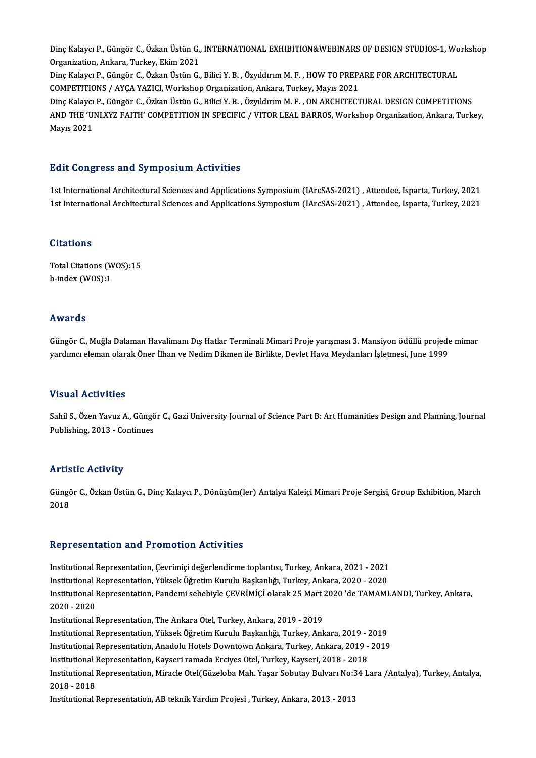Dinç Kalaycı P., Güngör C., Özkan Üstün G., INTERNATIONAL EXHIBITION&WEBINARS OF DESIGN STUDIOS-1, Workshop<br>Organization, Ankara, Turkey, Ekim 2021 Dinç Kalaycı P., Güngör C., Özkan Üstün G.,<br>Organization, Ankara, Turkey, Ekim 2021<br>Dine Kalaysı B. Güngör G. Özkan Üstün G. Dinç Kalaycı P., Güngör C., Özkan Üstün G., INTERNATIONAL EXHIBITION&WEBINARS OF DESIGN STUDIOS-1, Wo<br>Organization, Ankara, Turkey, Ekim 2021<br>Dinç Kalaycı P., Güngör C., Özkan Üstün G., Bilici Y. B. , Özyıldırım M. F. , HO Organization, Ankara, Turkey, Ekim 2021<br>Dinç Kalaycı P., Güngör C., Özkan Üstün G., Bilici Y. B. , Özyıldırım M. F. , HOW TO PREPARE FOR ARCHITECTURAL<br>COMPETITIONS / AYÇA YAZICI, Workshop Organization, Ankara, Turkey, Mayı Dinç Kalaycı P., Güngör C., Özkan Üstün G., Bilici Y. B., Özyıldırım M. F., ON ARCHITECTURAL DESIGN COMPETITIONS COMPETITIONS / AYÇA YAZICI, Workshop Organization, Ankara, Turkey, Mayıs 2021<br>Dinç Kalaycı P., Güngör C., Özkan Üstün G., Bilici Y. B. , Özyıldırım M. F. , ON ARCHITECTURAL DESIGN COMPETITIONS<br>AND THE 'UNLXYZ FAITH' COMPET Dinç Kalaycı<br>AND THE 'Ul<br>Mayıs 2021

# Mayıs 2021<br>Edit Congress and Symposium Activities

1st International Architectural Sciences and Applications Symposium (IArcSAS-2021) , Attendee, Isparta, Turkey, 2021<br>1st International Architectural Sciences and Applications Symposium (IArcSAS-2021) , Attendee, Isparta, T 1st International Architectural Sciences and Applications Symposium (IArcSAS-2021) , Attendee, Isparta, Turkey, 2021<br>1st International Architectural Sciences and Applications Symposium (IArcSAS-2021) , Attendee, Isparta, T 1st International Architectural Sciences and Applications Symposium (IArcSAS-2021) , Attendee, Isparta, Turkey, 2021<br>Citations

Total Citations (WOS):15 h-index (WOS):1

### Awards

**Awards**<br>Güngör C., Muğla Dalaman Havalimanı Dış Hatlar Terminali Mimari Proje yarışması 3. Mansiyon ödüllü projede mimar<br>vardımcı olaman olarak Öner İlban ve Nedim Dilman ile Birlikte Devlet Have Meydanları İslatmasi June 11v ar de<br>Güngör C., Muğla Dalaman Havalimanı Dış Hatlar Terminali Mimari Proje yarışması 3. Mansiyon ödüllü projede<br>yardımcı eleman olarak Öner İlhan ve Nedim Dikmen ile Birlikte, Devlet Hava Meydanları İşletmesi, June 19 yardımcı eleman olarak Öner İlhan ve Nedim Dikmen ile Birlikte, Devlet Hava Meydanları İşletmesi, June 1999<br>Visual Activities

Sahil S., Özen Yavuz A., Güngör C., Gazi University Journal of Science Part B: Art Humanities Design and Planning, Journal Publishing,2013 -Continues

## **Artistic Activity**

**Artistic Activity**<br>Güngör C., Özkan Üstün G., Dinç Kalaycı P., Dönüşüm(ler) Antalya Kaleiçi Mimari Proje Sergisi, Group Exhibition, March<br>2018 rrr ers<br>Güngö<br>2018

# Representation and Promotion Activities

InstitutionalRepresentation,Çevrimiçideğerlendirme toplantısı,Turkey,Ankara,2021 -2021 Institutional Representation, Çevrimiçi değerlendirme toplantısı, Turkey, Ankara, 2021 - 2021<br>Institutional Representation, Yüksek Öğretim Kurulu Başkanlığı, Turkey, Ankara, 2020 - 2020<br>Institutional Representation, Pandam Institutional Representation, Çevrimiçi değerlendirme toplantısı, Turkey, Ankara, 2021 - 2021<br>Institutional Representation, Yüksek Öğretim Kurulu Başkanlığı, Turkey, Ankara, 2020 - 2020<br>Institutional Representation, Pandem Institutional<br>Institutional<br>2020 - 2020<br>Institutional l Institutional Representation, Pandemi sebebiyle ÇEVRİMİÇİ olarak 25 Mart :<br>2020 - 2020<br>Institutional Representation, The Ankara Otel, Turkey, Ankara, 2019 - 2019<br>Institutional Representation, Yüksek Öğretim Kurulu Beskaplı 2020 - 2020<br>Institutional Representation, The Ankara Otel, Turkey, Ankara, 2019 - 2019<br>Institutional Representation, Yüksek Öğretim Kurulu Başkanlığı, Turkey, Ankara, 2019 - 2019<br>Institutional Benresentation, Anadelu Hetel Institutional Representation, The Ankara Otel, Turkey, Ankara, 2019 - 2019<br>Institutional Representation, Yüksek Öğretim Kurulu Başkanlığı, Turkey, Ankara, 2019 - 2019<br>Institutional Representation, Anadolu Hotels Downtown A Institutional Representation, Yüksek Öğretim Kurulu Başkanlığı, Turkey, Ankara, 2019 - 2<br>Institutional Representation, Anadolu Hotels Downtown Ankara, Turkey, Ankara, 2019 -<br>Institutional Representation, Kayseri ramada Erc Institutional Representation, Anadolu Hotels Downtown Ankara, Turkey, Ankara, 2019 - 2019<br>Institutional Representation, Kayseri ramada Erciyes Otel, Turkey, Kayseri, 2018 - 2018<br>Institutional Representation, Miracle Otel(G Institutional Representation, Kayseri ramada Erciyes Otel, Turkey, Kayseri, 2018 - 2018<br>Institutional Representation, Miracle Otel(Güzeloba Mah. Yaşar Sobutay Bulvarı No:34 I<br>2018 - 2018<br>Institutional Representation, AB te Institutional Representation, Miracle Otel(Güzeloba Mah. Yaşar Sobutay Bulvarı No:3<br>2018 - 2018<br>Institutional Representation, AB teknik Yardım Projesi , Turkey, Ankara, 2013 - 2013